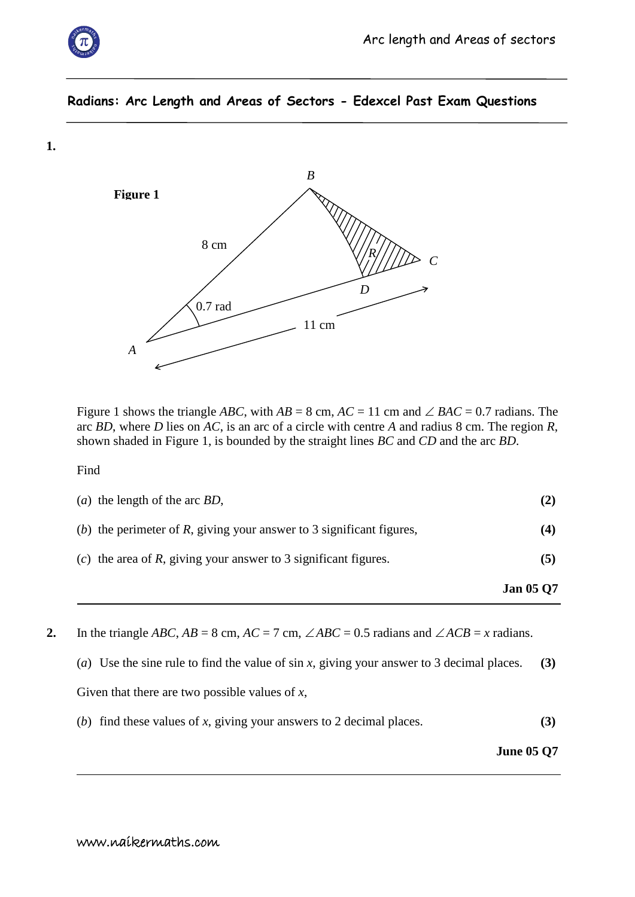

**1.**

## **Radians: Arc Length and Areas of Sectors - Edexcel Past Exam Questions**



Figure 1 shows the triangle *ABC*, with  $AB = 8$  cm,  $AC = 11$  cm and  $\angle BAC = 0.7$  radians. The arc *BD*, where *D* lies on *AC*, is an arc of a circle with centre *A* and radius 8 cm. The region *R*, shown shaded in Figure 1, is bounded by the straight lines *BC* and *CD* and the arc *BD*.

Find

| (a) the length of the arc <i>BD</i> , |  |
|---------------------------------------|--|

|  | (b) the perimeter of $R$ , giving your answer to 3 significant figures, |  |
|--|-------------------------------------------------------------------------|--|
|  |                                                                         |  |
|  |                                                                         |  |
|  |                                                                         |  |

(*c*) the area of *R*, giving your answer to 3 significant figures. **(5)**

**Jan 05 Q7**

**2.** In the triangle *ABC*,  $AB = 8$  cm,  $AC = 7$  cm,  $\angle ABC = 0.5$  radians and  $\angle ACB = x$  radians.

(*a*) Use the sine rule to find the value of sin *x*, giving your answer to 3 decimal places. **(3)**

Given that there are two possible values of *x*,

(*b*) find these values of *x*, giving your answers to 2 decimal places. **(3)**

**June 05 Q7**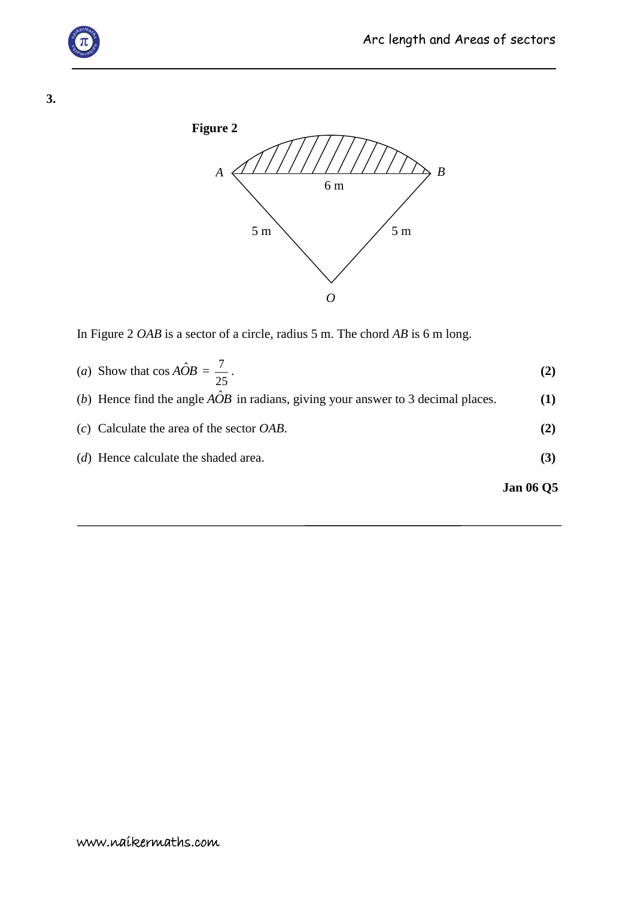

**3.**



In Figure 2 *OAB* is a sector of a circle, radius 5 m. The chord *AB* is 6 m long.

\n- (a) Show that 
$$
\cos A\hat{O}B = \frac{7}{25}
$$
.
\n- (b) Hence find the angle  $A\hat{O}B$  in radians, giving your answer to 3 decimal places.
\n- (c) Calculate the area of the sector *OAB*.
\n- (d) Hence calculate the shaded area.
\n- (3)
\n

**Jan 06 Q5**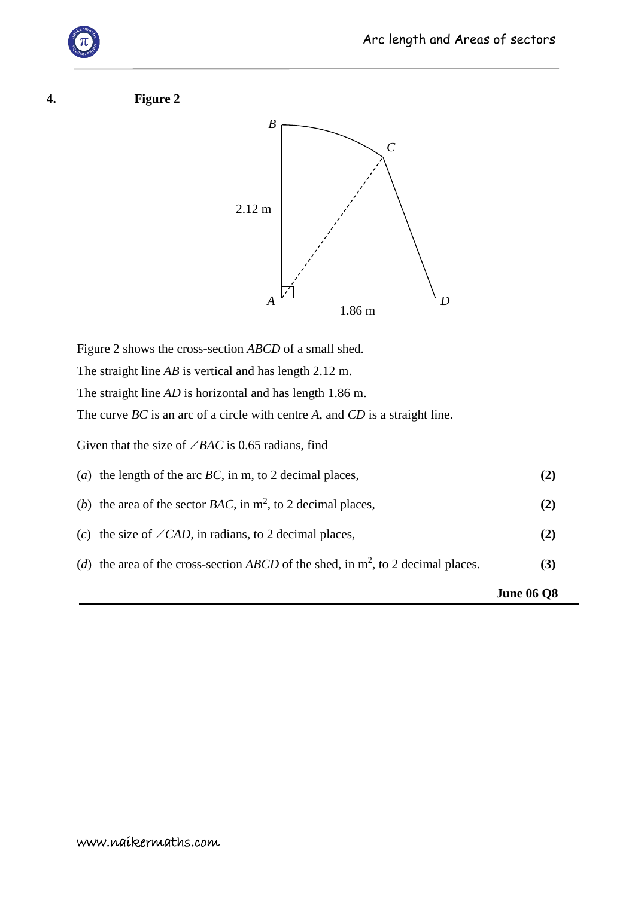## **4. Figure 2**



Figure 2 shows the cross-section *ABCD* of a small shed. The straight line *AB* is vertical and has length 2.12 m. The straight line *AD* is horizontal and has length 1.86 m. The curve *BC* is an arc of a circle with centre *A*, and *CD* is a straight line. Given that the size of  $\angle BAC$  is 0.65 radians, find (*a*) the length of the arc *BC*, in m, to 2 decimal places, **(2)** (*b*) the area of the sector *BAC*, in  $m^2$ , to 2 decimal places, (2) (*c*) the size of  $\angle$ *CAD*, in radians, to 2 decimal places, (2) (*d*) the area of the cross-section *ABCD* of the shed, in  $m^2$ , to 2 decimal places. (3) **June 06 Q8**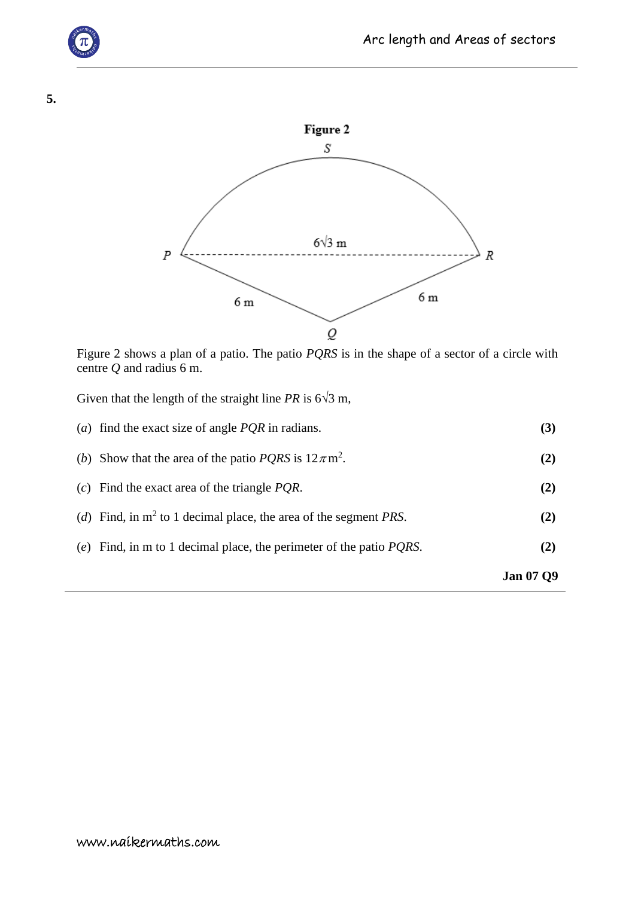



Figure 2 shows a plan of a patio. The patio *PQRS* is in the shape of a sector of a circle with centre *Q* and radius 6 m.

Given that the length of the straight line *PR* is  $6\sqrt{3}$  m,

|                                                                             | <b>Jan 07 Q9</b> |
|-----------------------------------------------------------------------------|------------------|
| (e) Find, in m to 1 decimal place, the perimeter of the patio $PQRS$ .      | (2)              |
| (d) Find, in $m^2$ to 1 decimal place, the area of the segment <i>PRS</i> . | (2)              |
| (c) Find the exact area of the triangle $PQR$ .                             | (2)              |
| (b) Show that the area of the patio <i>PQRS</i> is $12\pi$ m <sup>2</sup> . | (2)              |
| (a) find the exact size of angle $PQR$ in radians.                          | (3)              |

**5.**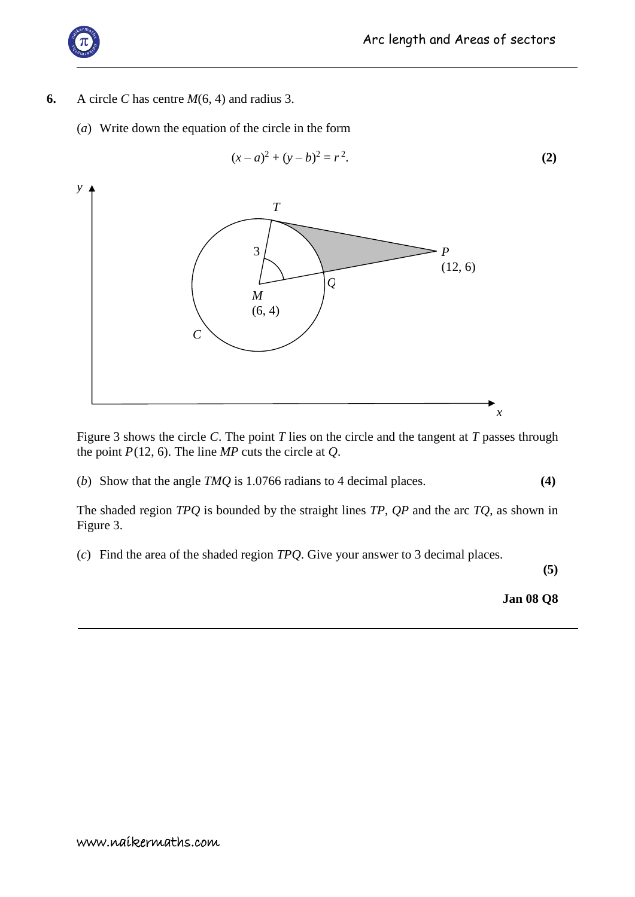

- **6.** A circle *C* has centre *M*(6, 4) and radius 3.
	- (*a*) Write down the equation of the circle in the form

$$
(x-a)^2 + (y-b)^2 = r^2.
$$
 (2)



Figure 3 shows the circle *C*. The point *T* lies on the circle and the tangent at *T* passes through the point *P*(12, 6). The line *MP* cuts the circle at *Q*.

(*b*) Show that the angle *TMQ* is 1.0766 radians to 4 decimal places. **(4)**

The shaded region *TPQ* is bounded by the straight lines *TP*, *QP* and the arc *TQ*, as shown in Figure 3.

(*c*) Find the area of the shaded region *TPQ*. Give your answer to 3 decimal places.

**(5)**

**Jan 08 Q8**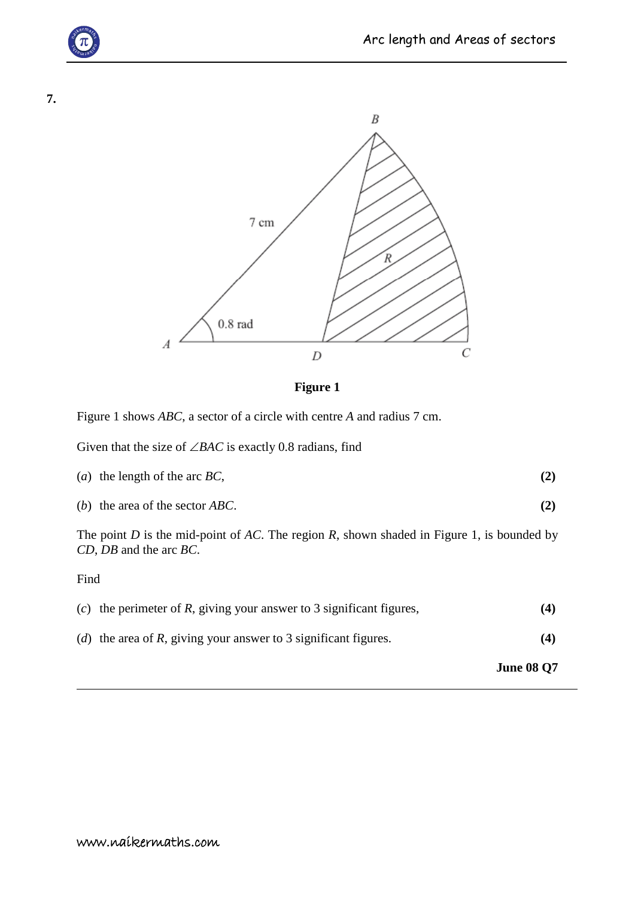C





**Figure 1**

 $\boldsymbol{D}$ 

Figure 1 shows *ABC*, a sector of a circle with centre *A* and radius 7 cm.

Given that the size of  $\angle BAC$  is exactly 0.8 radians, find

| ( <i>a</i> ) the length of the arc $BC$ , |  |
|-------------------------------------------|--|
|-------------------------------------------|--|

(*b*) the area of the sector *ABC*. **(2)**

The point *D* is the mid-point of *AC*. The region *R*, shown shaded in Figure 1, is bounded by *CD*, *DB* and the arc *BC*.

Find

|                                                                          | <b>June 08 Q7</b> |
|--------------------------------------------------------------------------|-------------------|
| ( <i>d</i> ) the area of R, giving your answer to 3 significant figures. | (4)               |
| (c) the perimeter of R, giving your answer to 3 significant figures,     | (4)               |

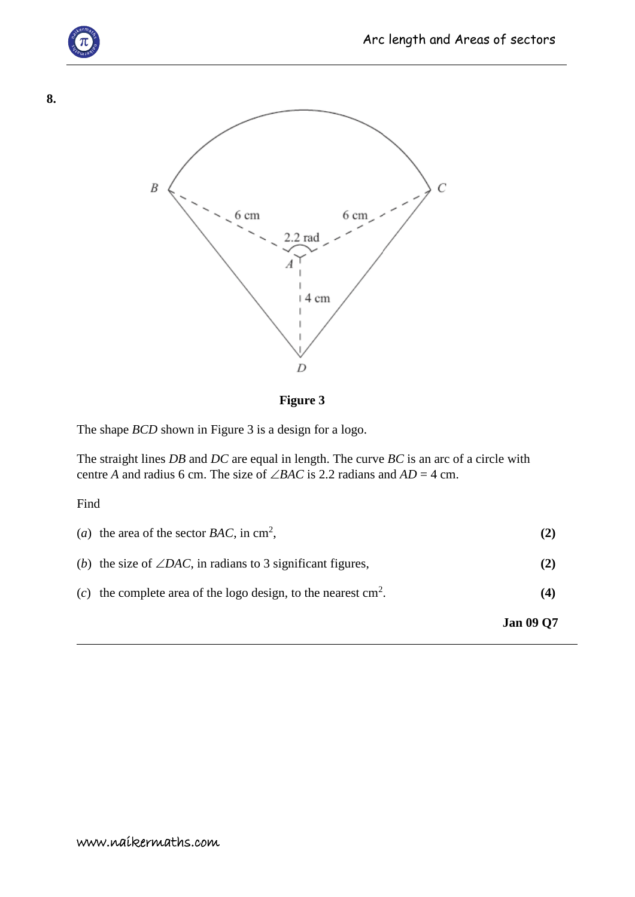



**Figure 3**

The shape *BCD* shown in Figure 3 is a design for a logo.

The straight lines *DB* and *DC* are equal in length. The curve *BC* is an arc of a circle with centre *A* and radius 6 cm. The size of  $\angle BAC$  is 2.2 radians and  $AD = 4$  cm.

Find

|                                                                          | <b>Jan 09 Q7</b> |
|--------------------------------------------------------------------------|------------------|
| (c) the complete area of the logo design, to the nearest $\text{cm}^2$ . | (4)              |
| (b) the size of $\angle DAC$ , in radians to 3 significant figures,      | (2)              |
| (a) the area of the sector $BAC$ , in cm <sup>2</sup> ,                  |                  |

**8.**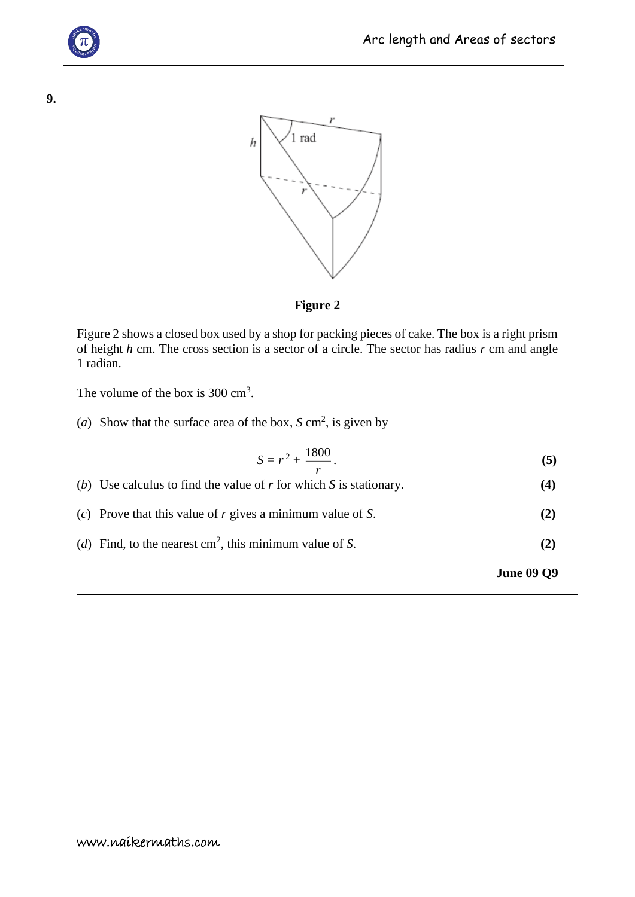



## **Figure 2**

Figure 2 shows a closed box used by a shop for packing pieces of cake. The box is a right prism of height *h* cm. The cross section is a sector of a circle. The sector has radius *r* cm and angle 1 radian.

The volume of the box is  $300 \text{ cm}^3$ .

(*a*) Show that the surface area of the box,  $S \text{ cm}^2$ , is given by

$$
S = r^2 + \frac{1800}{r}.
$$
 (5)

| (b) Use calculus to find the value of r for which S is stationary. | (4) |
|--------------------------------------------------------------------|-----|
| (c) Prove that this value of $r$ gives a minimum value of $S$ .    | (2) |
| (d) Find, to the nearest $\text{cm}^2$ , this minimum value of S.  | (2) |

**June 09 Q9**

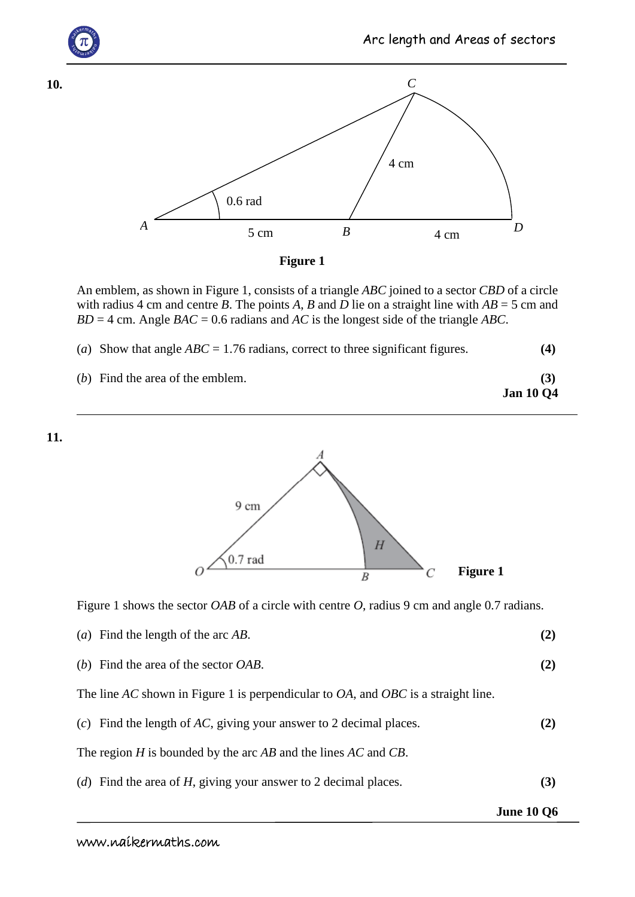

An emblem, as shown in Figure 1, consists of a triangle *ABC* joined to a sector *CBD* of a circle with radius 4 cm and centre *B*. The points *A*, *B* and *D* lie on a straight line with  $AB = 5$  cm and *BD* = 4 cm. Angle *BAC* = 0.6 radians and *AC* is the longest side of the triangle *ABC*.

|  |  | (a) Show that angle $ABC = 1.76$ radians, correct to three significant figures. | (4) |
|--|--|---------------------------------------------------------------------------------|-----|
|--|--|---------------------------------------------------------------------------------|-----|

| (b) Find the area of the emblem. |                  |
|----------------------------------|------------------|
|                                  | <b>Jan 10 Q4</b> |





Figure 1 shows the sector *OAB* of a circle with centre *O*, radius 9 cm and angle 0.7 radians.

|  | (a) Find the length of the arc $AB$ . |  |
|--|---------------------------------------|--|
|--|---------------------------------------|--|

(*b*) Find the area of the sector *OAB*. **(2)**

The line *AC* shown in Figure 1 is perpendicular to *OA*, and *OBC* is a straight line.

(*c*) Find the length of *AC*, giving your answer to 2 decimal places. **(2)**

The region *H* is bounded by the arc *AB* and the lines *AC* and *CB*.

(*d*) Find the area of *H*, giving your answer to 2 decimal places. **(3)**

**June 10 Q6**